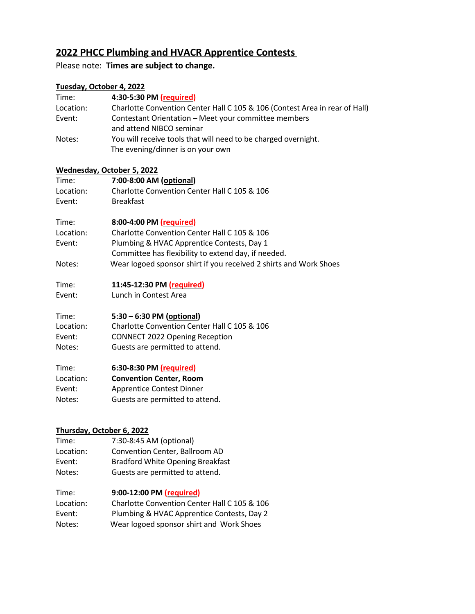# **2022 PHCC Plumbing and HVACR Apprentice Contests**

## Please note: **Times are subject to change.**

#### **Tuesday, October 4, 2022**

| Time:     | 4:30-5:30 PM (required)                                                                             |
|-----------|-----------------------------------------------------------------------------------------------------|
| Location: | Charlotte Convention Center Hall C 105 & 106 (Contest Area in rear of Hall)                         |
| Event:    | Contestant Orientation – Meet your committee members<br>and attend NIBCO seminar                    |
| Notes:    | You will receive tools that will need to be charged overnight.<br>The evening/dinner is on your own |

#### **Wednesday, October 5, 2022**

| Time:     | 7:00-8:00 AM (optional)                      |
|-----------|----------------------------------------------|
| Location: | Charlotte Convention Center Hall C 105 & 106 |
| Event:    | <b>Breakfast</b>                             |

| Time:     | 8:00-4:00 PM (required)                                           |
|-----------|-------------------------------------------------------------------|
| Location: | Charlotte Convention Center Hall C 105 & 106                      |
| Event:    | Plumbing & HVAC Apprentice Contests, Day 1                        |
|           | Committee has flexibility to extend day, if needed.               |
| Notes:    | Wear logoed sponsor shirt if you received 2 shirts and Work Shoes |

## Time: **11:45-12:30 PM (required)**

Event: Lunch in Contest Area

## Time: **5:30 – 6:30 PM (optional)**

Location: Charlotte Convention Center Hall C 105 & 106 Event: CONNECT 2022 Opening Reception Notes: Guests are permitted to attend.

| Time:     | 6:30-8:30 PM (required)          |
|-----------|----------------------------------|
| Location: | <b>Convention Center, Room</b>   |
| Event:    | <b>Apprentice Contest Dinner</b> |
| Notes:    | Guests are permitted to attend.  |

## **Thursday, October 6, 2022**

Time: 7:30-8:45 AM (optional) Location: Convention Center, Ballroom AD Event: Bradford White Opening Breakfast Notes: Guests are permitted to attend.

## Time: **9:00-12:00 PM (required)**

| Location: | Charlotte Convention Center Hall C 105 & 106 |
|-----------|----------------------------------------------|
| Event:    | Plumbing & HVAC Apprentice Contests, Day 2   |
| Notes:    | Wear logoed sponsor shirt and Work Shoes     |